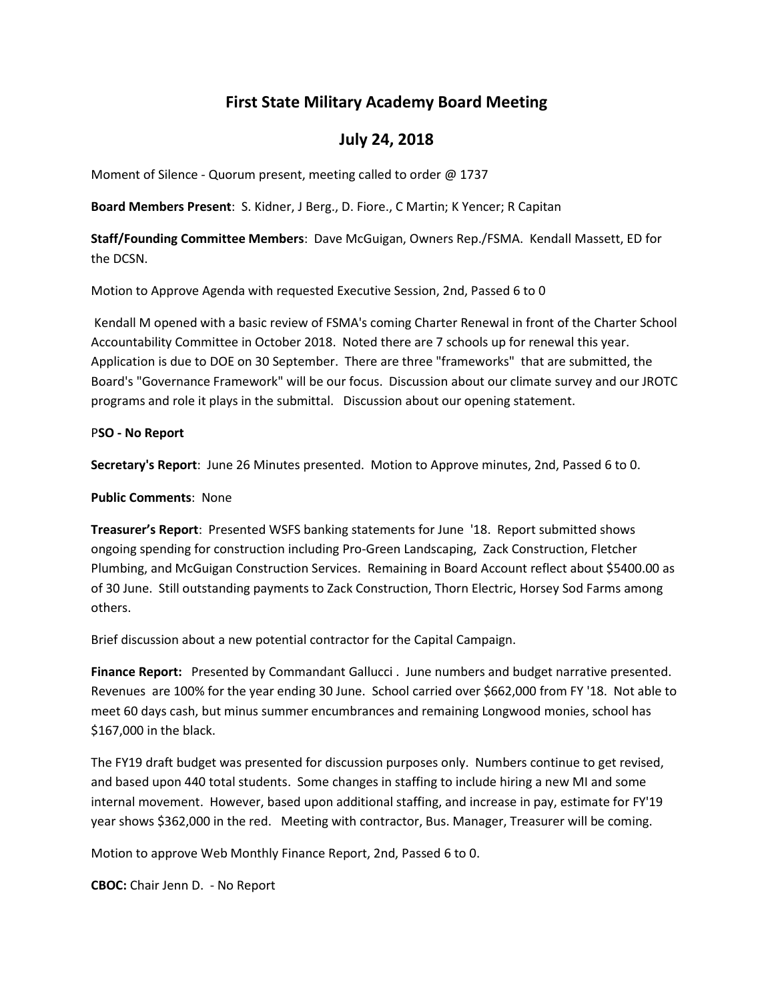# **First State Military Academy Board Meeting**

## **July 24, 2018**

Moment of Silence - Quorum present, meeting called to order @ 1737

**Board Members Present**: S. Kidner, J Berg., D. Fiore., C Martin; K Yencer; R Capitan

**Staff/Founding Committee Members**: Dave McGuigan, Owners Rep./FSMA. Kendall Massett, ED for the DCSN.

Motion to Approve Agenda with requested Executive Session, 2nd, Passed 6 to 0

Kendall M opened with a basic review of FSMA's coming Charter Renewal in front of the Charter School Accountability Committee in October 2018. Noted there are 7 schools up for renewal this year. Application is due to DOE on 30 September. There are three "frameworks" that are submitted, the Board's "Governance Framework" will be our focus. Discussion about our climate survey and our JROTC programs and role it plays in the submittal. Discussion about our opening statement.

### P**SO - No Report**

**Secretary's Report**: June 26 Minutes presented. Motion to Approve minutes, 2nd, Passed 6 to 0.

**Public Comments**: None

**Treasurer's Report**: Presented WSFS banking statements for June '18. Report submitted shows ongoing spending for construction including Pro-Green Landscaping, Zack Construction, Fletcher Plumbing, and McGuigan Construction Services. Remaining in Board Account reflect about \$5400.00 as of 30 June. Still outstanding payments to Zack Construction, Thorn Electric, Horsey Sod Farms among others.

Brief discussion about a new potential contractor for the Capital Campaign.

**Finance Report:** Presented by Commandant Gallucci . June numbers and budget narrative presented. Revenues are 100% for the year ending 30 June. School carried over \$662,000 from FY '18. Not able to meet 60 days cash, but minus summer encumbrances and remaining Longwood monies, school has \$167,000 in the black.

The FY19 draft budget was presented for discussion purposes only. Numbers continue to get revised, and based upon 440 total students. Some changes in staffing to include hiring a new MI and some internal movement. However, based upon additional staffing, and increase in pay, estimate for FY'19 year shows \$362,000 in the red. Meeting with contractor, Bus. Manager, Treasurer will be coming.

Motion to approve Web Monthly Finance Report, 2nd, Passed 6 to 0.

**CBOC:** Chair Jenn D. - No Report